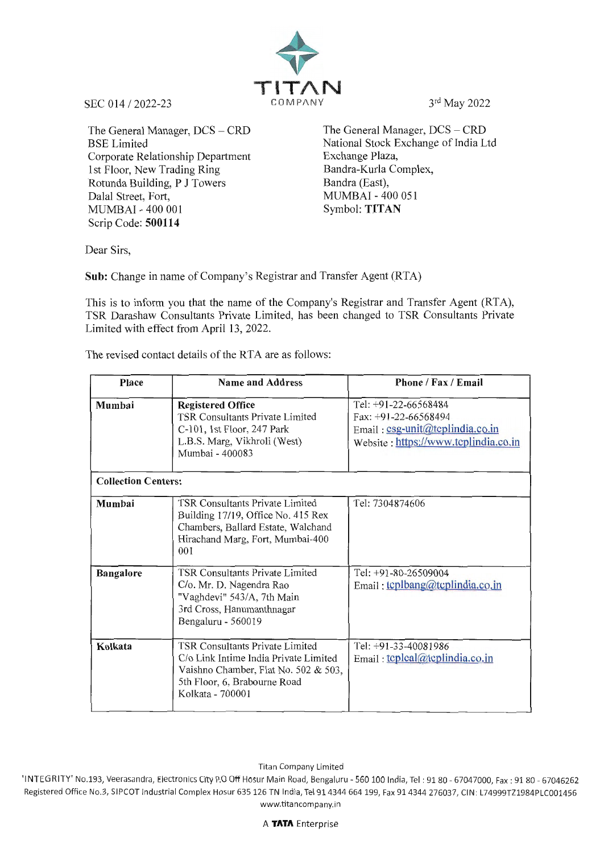

The General Manager, DCS - CRD BSE Limited Corporate Relationship Department 1st Floor, New Trading Ring Rotunda Building, P J Towers Dalal Street, Fort, MUMBAI - 400 001 Symbol: **TITAN**  Scrip Code: **500114** 

The General Manager, DCS - CRD National Stock Exchange of India Ltd Exchange Plaza, Bandra-Kurla Complex, Bandra (East), MUMBAI - 400 051

Dear Sirs,

**Sub:** Change in name of Company's Registrar and Transfer Agent (RTA)

This is to inform you that the name of the Company's Registrar and Transfer Agent (RTA), TSR Darashaw Consultants Private Limited, has been changed to TSR Consultants Private Limited with effect from April 13, 2022.

**Place Name and Address Phone / Fax / Email Mumbai Registered Office**<br>TSR Consultants Private Limited Fax: +91-22-66568494 TSR Consultants Private Limited<br>C-101, 1st Floor, 247 Park C-101, 1st Floor, 247 Park Email: csg-unit@tcplindia.co.in<br>L.B.S. Marg, Vikhroli (West) Website · https://www.tcplindia.co Website: https://www.tcplindia.co.in Mumbai - 400083

The revised contact details of the RTA are as follows:

|                            | <u> IVIUIIIUUI - TUUUUJ</u>                                                                                                                                                 |                                                         |  |
|----------------------------|-----------------------------------------------------------------------------------------------------------------------------------------------------------------------------|---------------------------------------------------------|--|
| <b>Collection Centers:</b> |                                                                                                                                                                             |                                                         |  |
| Mumbai                     | TSR Consultants Private Limited<br>Building 17/19, Office No. 415 Rex<br>Chambers, Ballard Estate, Walchand<br>Hirachand Marg, Fort, Mumbai-400<br>001                      | Tel: 7304874606                                         |  |
| <b>Bangalore</b>           | <b>TSR Consultants Private Limited</b><br>C/o. Mr. D. Nagendra Rao<br>"Vaghdevi" 543/A, 7th Main<br>3rd Cross, Hanumanthnagar<br>Bengaluru - 560019                         | Tel: +91-80-26509004<br>Email: tcplbang@tcplindia.co.in |  |
| Kolkata                    | <b>TSR Consultants Private Limited</b><br>C/o Link Intime India Private Limited<br>Vaishno Chamber, Flat No. 502 & 503,<br>5th Floor, 6, Brabourne Road<br>Kolkata - 700001 | Tel: +91-33-40081986<br>Email: tcplcal@tcplindia.co.in  |  |

Titan Company Limited

'INTEGRITY' No.193, Veerasandra, Electronics City P.O Off Hosur Main Road, Bengaluru - 560 100 India, Tel : 91 80 - 67047000, Fax: 91 80 - 67046262 Registered Office No.3, SIPCOT Industrial Complex Hosur 635126 TN India, Tel 914344 664199, Fax 914344 276037, CIN: L74999TZ1984PLC001456 www.titancompany.in

A **TATA** Enterprise